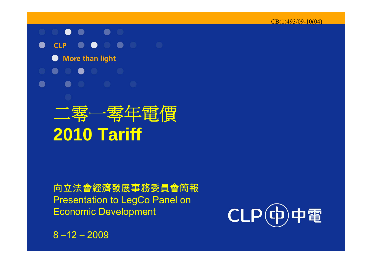#### $\bullet$ <u>a se</u>  $\bullet$



**More than light**  $\bullet$ 



# 二零一零年電價 **2010 Tariff**

向立法會經濟發展事務委員會簡報 Presentation to LegCo Panel on Economic Development

 $8 - 12 - 2009$ 

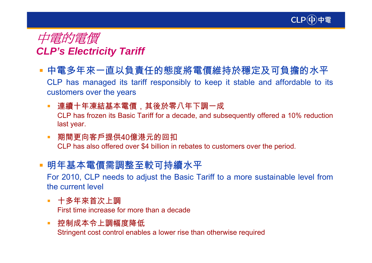



- 中電多年來一直以負責任的態度將電價維持於穩定及可負擔的水平 CLP has managed its tariff responsibly to keep it stable and affordable to its customers over the years
	- $\mathcal{L}_{\mathcal{A}}$  連續十年凍結基本電價,其後於零八年下調一成 CLP has frozen its Basic Tariff for a decade, and subsequently offered a 10% reduction last year.
	- $\mathcal{L}$  期間更向客戶提供40億港元的回扣 CLP has also offered over \$4 billion in rebates to customers over the period.
- 明年基本電價需調整至較可持續水平

For 2010, CLP needs to adjust the Basic Tariff to a more sustainable level from the current level

- 十多年來首次上調 First time increase for more than a decade
- $\mathcal{L}_{\mathcal{A}}$  控制成本令上調幅度降低 Stringent cost control enables a lower rise than otherwise required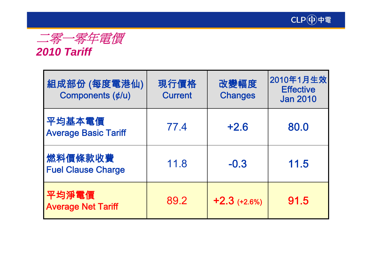



### *2010 Tariff*

| 組成部份 (每度電港仙)<br>Components (¢/u)      | 現行價格<br><b>Current</b> | 改變幅度<br><b>Changes</b> | 2010年1月生效<br><b>Effective</b><br><b>Jan 2010</b> |
|---------------------------------------|------------------------|------------------------|--------------------------------------------------|
| 平均基本電價<br><b>Average Basic Tariff</b> | 77.4                   | $+2.6$                 | 80.0                                             |
| 燃料價條款收費<br><b>Fuel Clause Charge</b>  | 11.8                   | $-0.3$                 | 11.5                                             |
| 平均淨電價<br><b>Average Net Tariff</b>    | 89.2                   | $+2.3$ (+2.6%)         | 91.5                                             |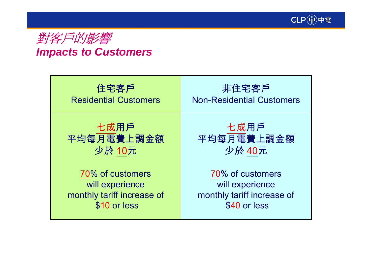



### *Impacts to Customers*

| 住宅客戶                         | 非住宅客戶                            |
|------------------------------|----------------------------------|
| <b>Residential Customers</b> | <b>Non-Residential Customers</b> |
| 七成用戶                         | 七成用戶                             |
| 平均每月電費上調金額                   | 平均每月電費上調金額                       |
| 少於 10元                       | 少於 40元                           |
| 70% of customers             | 70% of customers                 |
| will experience              | will experience                  |
| monthly tariff increase of   | monthly tariff increase of       |
| \$10 or less                 | \$40 or less                     |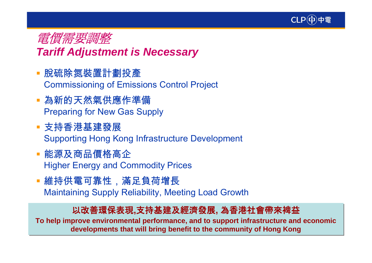



### *Tariff Adjustment is Necessary*

- 脫硫除氮裝置計劃投產 Commissioning of Emissions Control Project
- 為新的天然氣供應作準備 Preparing for New Gas Supply
- 支持香港基建發展 Supporting Hong Kong Infrastructure Development
- 能源及商品價格高企 Higher Energy and Commodity Prices
- 維持供電可靠性,滿足負荷增長 Maintaining Supply Reliability, Meeting Load Growth

### 以改善環保表現**,**支持基建及經濟發展**,** 為香港社會帶來裨益 以改善環保表現**,**支持基建及經濟發展**,** 為香港社會帶來裨益

**To help improve environmental performance, and to support infrastructure and economic To help improve environmental performance, and to support infrastructure and economic developments that will bring benefit to the community of Hong Kong developments that will bring benefit to the community of Hong Kong**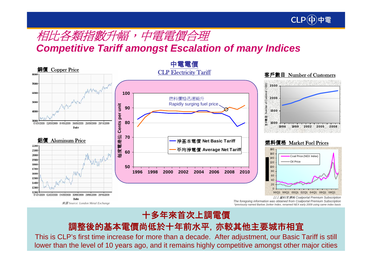

### 相比各類指數升幅,中電電價合理

*Competitive Tariff amongst Escalation of many Indices*



### 十多年來首次上調電價 十多年來首次上調電價

### 調整後的基本電價尚低於十年前水平,亦較其他主要城市相宜 調整後的基本電價尚低於十年前水平,亦較其他主要城市相宜

This is CLP's first time increase for more than a decade. After adjustment, our Basic Tariff is still This is CLP's first time increase for more than a decade. After adjustment, our Basic Tariff is still lower than the level of 10 years ago, and it remains highly competitive amongst other major cities lower than the level of 10 years ago, and it remains highly competitive amongst other major cities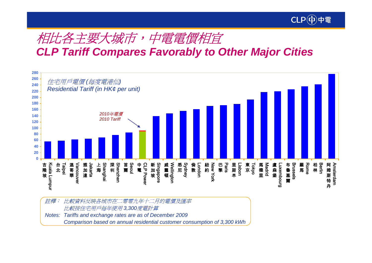

## 相比各主要大城市,中電電價相宜

*CLP Tariff Compares Favorably to Other Major Cities*



註釋︰ 比較資料反映各城市在二零零九年十二月的電價及匯率 比較按住宅用戶每年使用 *3,300*度電計算 *Notes: Tariffs and exchange rates are as of December 2009 Comparison based on annual residential customer consumption of 3,300 kWh*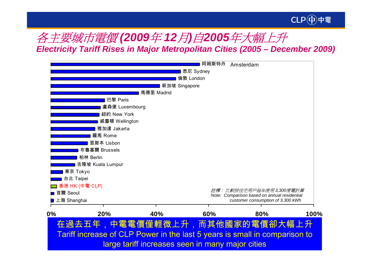

### 各主要城市電價 *(2009*年 *12*月*)* 自*2005*年大幅上升 *Electricity Tariff Rises in Major Metropolitan Cities (2005 – December 2009)*



large tariff increases seen in many major cities